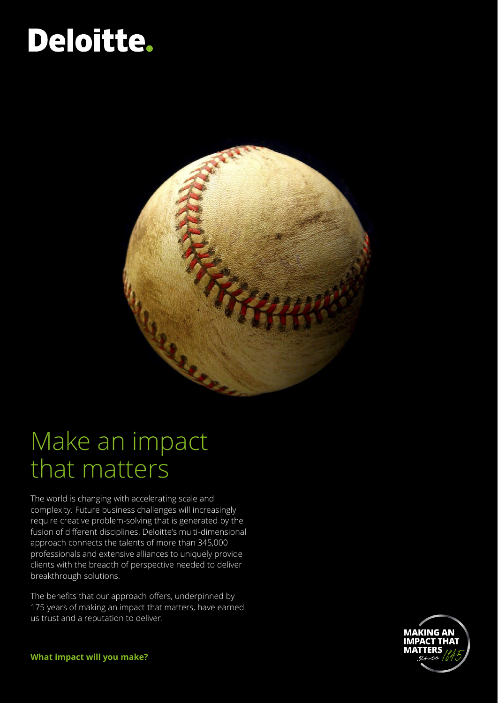# Deloitte.



## Make an impact that matters

The world is changing with accelerating scale and complexity. Future business challenges will increasingly require creative problem-solving that is generated by the fusion of different disciplines. Deloitte's multi-dimensional approach connects the talents of more than 345,000 professionals and extensive alliances to uniquely provide clients with the breadth of perspective needed to deliver breakthrough solutions.

The benefits that our approach offers, underpinned by 175 years of making an impact that matters, have earned us trust and a reputation to deliver.



**What impact will you make?**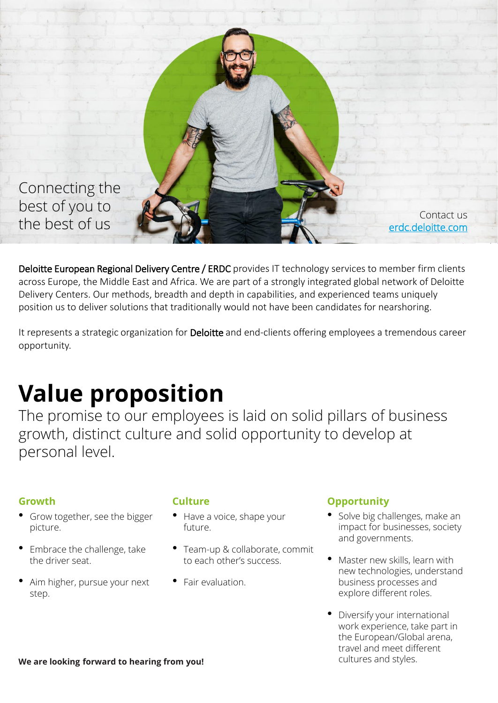

Deloitte European Regional Delivery Centre / ERDC provides IT technology services to member firm clients across Europe, the Middle East and Africa. We are part of a strongly integrated global network of Deloitte Delivery Centers. Our methods, breadth and depth in capabilities, and experienced teams uniquely position us to deliver solutions that traditionally would not have been candidates for nearshoring.

It represents a strategic organization for Deloitte and end-clients offering employees a tremendous career opportunity.

## **Value proposition**

The promise to our employees is laid on solid pillars of business growth, distinct culture and solid opportunity to develop at personal level.

- Grow together, see the bigger picture.
- Embrace the challenge, take the driver seat.
- Aim higher, pursue your next step.

- Have a voice, shape your future.
- Team-up & collaborate, commit to each other's success.
- Fair evaluation.

### **Culture Culture Culture Opportunity**

- Solve big challenges, make an impact for businesses, society and governments.
- Master new skills, learn with new technologies, understand business processes and explore different roles.
- Diversify your international work experience, take part in the European/Global arena, travel and meet different

We are looking forward to hearing from you!<br> **We are looking forward to hearing from you!**<br> **Cultures and styles.**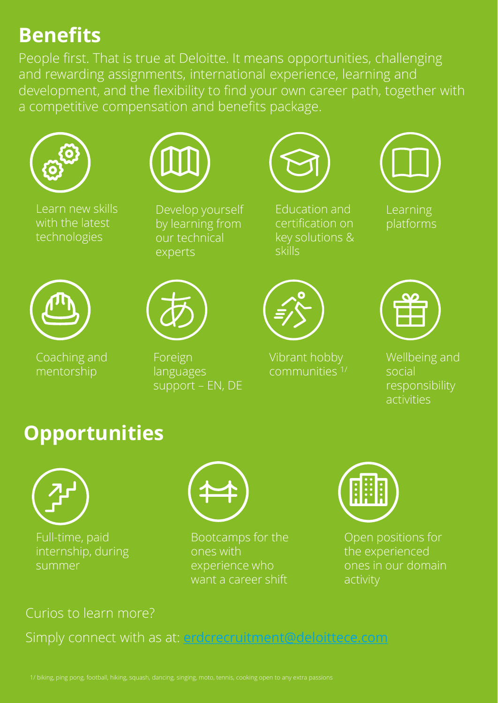### **Benefits**

People first. That is true at Deloitte. It means opportunities, challenging and rewarding assignments, international experience, learning and development, and the flexibility to find your own career path, together with a competitive compensation and benefits package.



Learn new skills with the latest technologies



Develop yourself by learning from our technical experts



Education and certification on key solutions & skills



Learning platforms



Coaching and mentorship



Foreign languages support – EN, DE



Vibrant hobby communities 1/



Wellbeing and social responsibility activities

### **Opportunities**



Full-time, paid internship, during summer



Bootcamps for the ones with experience who want a career shift



Open positions for the experienced ones in our domain activity

### Curios to learn more?

Simply connect with as at: **[erdcrecruitment@deloittece.com](mailto:erdcrecruitment@deloittece.com)**